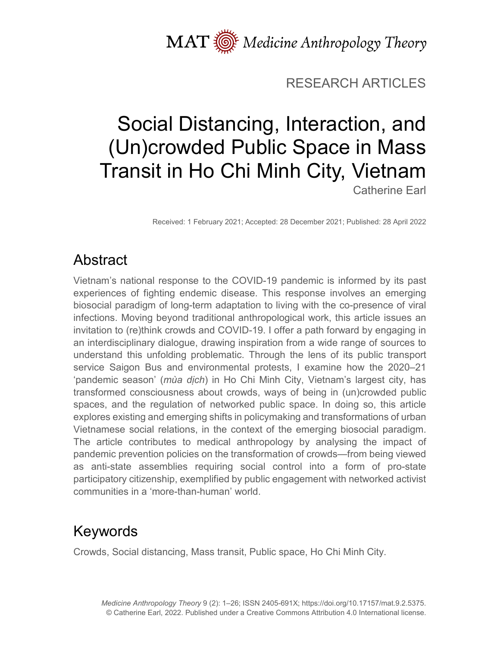MAT  $\overline{\text{W}}$  Medicine Anthropology Theory

#### RESEARCH ARTICLES

# Social Distancing, Interaction, and (Un)crowded Public Space in Mass Transit in Ho Chi Minh City, Vietnam Catherine Earl

Received: 1 February 2021; Accepted: 28 December 2021; Published: 28 April 2022

# Abstract

Vietnam's national response to the COVID-19 pandemic is informed by its past experiences of fighting endemic disease. This response involves an emerging biosocial paradigm of long-term adaptation to living with the co-presence of viral infections. Moving beyond traditional anthropological work, this article issues an invitation to (re)think crowds and COVID-19. I offer a path forward by engaging in an interdisciplinary dialogue, drawing inspiration from a wide range of sources to understand this unfolding problematic. Through the lens of its public transport service Saigon Bus and environmental protests, I examine how the 2020–21 'pandemic season' (*mùa dịch*) in Ho Chi Minh City, Vietnam's largest city, has transformed consciousness about crowds, ways of being in (un)crowded public spaces, and the regulation of networked public space. In doing so, this article explores existing and emerging shifts in policymaking and transformations of urban Vietnamese social relations, in the context of the emerging biosocial paradigm. The article contributes to medical anthropology by analysing the impact of pandemic prevention policies on the transformation of crowds—from being viewed as anti-state assemblies requiring social control into a form of pro-state participatory citizenship, exemplified by public engagement with networked activist communities in a 'more-than-human' world.

# Keywords

Crowds, Social distancing, Mass transit, Public space, Ho Chi Minh City.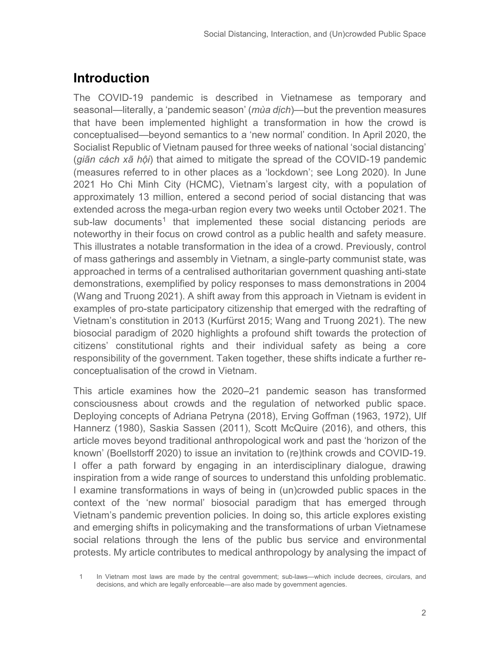## **Introduction**

The COVID-19 pandemic is described in Vietnamese as temporary and seasonal—literally, a 'pandemic season' (*mùa dịch*)—but the prevention measures that have been implemented highlight a transformation in how the crowd is conceptualised—beyond semantics to a 'new normal' condition. In April 2020, the Socialist Republic of Vietnam paused for three weeks of national 'social distancing' (*giãn cách xã hội*) that aimed to mitigate the spread of the COVID-19 pandemic (measures referred to in other places as a 'lockdown'; see Long 2020). In June 2021 Ho Chi Minh City (HCMC), Vietnam's largest city, with a population of approximately 13 million, entered a second period of social distancing that was extended across the mega-urban region every two weeks until October 2021. The sub-law documents<sup>[1](#page-1-0)</sup> that implemented these social distancing periods are noteworthy in their focus on crowd control as a public health and safety measure. This illustrates a notable transformation in the idea of a crowd. Previously, control of mass gatherings and assembly in Vietnam, a single-party communist state, was approached in terms of a centralised authoritarian government quashing anti-state demonstrations, exemplified by policy responses to mass demonstrations in 2004 (Wang and Truong 2021). A shift away from this approach in Vietnam is evident in examples of pro-state participatory citizenship that emerged with the redrafting of Vietnam's constitution in 2013 (Kurfürst 2015; Wang and Truong 2021). The new biosocial paradigm of 2020 highlights a profound shift towards the protection of citizens' constitutional rights and their individual safety as being a core responsibility of the government. Taken together, these shifts indicate a further reconceptualisation of the crowd in Vietnam.

This article examines how the 2020–21 pandemic season has transformed consciousness about crowds and the regulation of networked public space. Deploying concepts of Adriana Petryna (2018), Erving Goffman (1963, 1972), Ulf Hannerz (1980), Saskia Sassen (2011), Scott McQuire (2016), and others, this article moves beyond traditional anthropological work and past the 'horizon of the known' (Boellstorff 2020) to issue an invitation to (re)think crowds and COVID-19. I offer a path forward by engaging in an interdisciplinary dialogue, drawing inspiration from a wide range of sources to understand this unfolding problematic. I examine transformations in ways of being in (un)crowded public spaces in the context of the 'new normal' biosocial paradigm that has emerged through Vietnam's pandemic prevention policies. In doing so, this article explores existing and emerging shifts in policymaking and the transformations of urban Vietnamese social relations through the lens of the public bus service and environmental protests. My article contributes to medical anthropology by analysing the impact of

<span id="page-1-0"></span><sup>1</sup> In Vietnam most laws are made by the central government; sub-laws—which include decrees, circulars, and decisions, and which are legally enforceable—are also made by government agencies.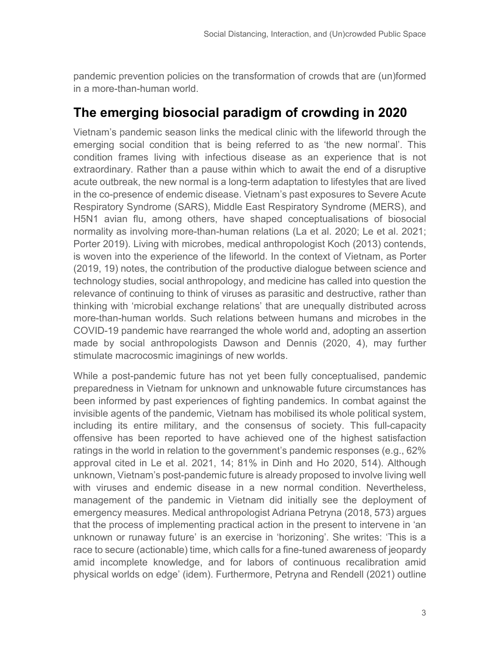pandemic prevention policies on the transformation of crowds that are (un)formed in a more-than-human world.

## **The emerging biosocial paradigm of crowding in 2020**

Vietnam's pandemic season links the medical clinic with the lifeworld through the emerging social condition that is being referred to as 'the new normal'. This condition frames living with infectious disease as an experience that is not extraordinary. Rather than a pause within which to await the end of a disruptive acute outbreak, the new normal is a long-term adaptation to lifestyles that are lived in the co-presence of endemic disease. Vietnam's past exposures to Severe Acute Respiratory Syndrome (SARS), Middle East Respiratory Syndrome (MERS), and H5N1 avian flu, among others, have shaped conceptualisations of biosocial normality as involving more-than-human relations (La et al. 2020; Le et al. 2021; Porter 2019). Living with microbes, medical anthropologist Koch (2013) contends, is woven into the experience of the lifeworld. In the context of Vietnam, as Porter (2019, 19) notes, the contribution of the productive dialogue between science and technology studies, social anthropology, and medicine has called into question the relevance of continuing to think of viruses as parasitic and destructive, rather than thinking with 'microbial exchange relations' that are unequally distributed across more-than-human worlds. Such relations between humans and microbes in the COVID-19 pandemic have rearranged the whole world and, adopting an assertion made by social anthropologists Dawson and Dennis (2020, 4), may further stimulate macrocosmic imaginings of new worlds.

While a post-pandemic future has not yet been fully conceptualised, pandemic preparedness in Vietnam for unknown and unknowable future circumstances has been informed by past experiences of fighting pandemics. In combat against the invisible agents of the pandemic, Vietnam has mobilised its whole political system, including its entire military, and the consensus of society. This full-capacity offensive has been reported to have achieved one of the highest satisfaction ratings in the world in relation to the government's pandemic responses (e.g., 62% approval cited in Le et al. 2021, 14; 81% in Dinh and Ho 2020, 514). Although unknown, Vietnam's post-pandemic future is already proposed to involve living well with viruses and endemic disease in a new normal condition. Nevertheless, management of the pandemic in Vietnam did initially see the deployment of emergency measures. Medical anthropologist Adriana Petryna (2018, 573) argues that the process of implementing practical action in the present to intervene in 'an unknown or runaway future' is an exercise in 'horizoning'. She writes: 'This is a race to secure (actionable) time, which calls for a fine-tuned awareness of jeopardy amid incomplete knowledge, and for labors of continuous recalibration amid physical worlds on edge' (idem). Furthermore, Petryna and Rendell (2021) outline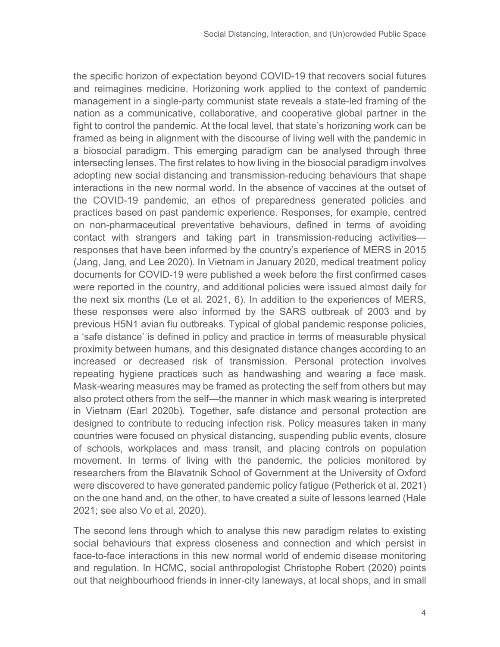the specific horizon of expectation beyond COVID-19 that recovers social futures and reimagines medicine. Horizoning work applied to the context of pandemic management in a single-party communist state reveals a state-led framing of the nation as a communicative, collaborative, and cooperative global partner in the fight to control the pandemic. At the local level, that state's horizoning work can be framed as being in alignment with the discourse of living well with the pandemic in a biosocial paradigm. This emerging paradigm can be analysed through three intersecting lenses. The first relates to how living in the biosocial paradigm involves adopting new social distancing and transmission-reducing behaviours that shape interactions in the new normal world. In the absence of vaccines at the outset of the COVID-19 pandemic, an ethos of preparedness generated policies and practices based on past pandemic experience. Responses, for example, centred on non-pharmaceutical preventative behaviours, defined in terms of avoiding contact with strangers and taking part in transmission-reducing activities responses that have been informed by the country's experience of MERS in 2015 (Jang, Jang, and Lee 2020). In Vietnam in January 2020, medical treatment policy documents for COVID-19 were published a week before the first confirmed cases were reported in the country, and additional policies were issued almost daily for the next six months (Le et al. 2021, 6). In addition to the experiences of MERS, these responses were also informed by the SARS outbreak of 2003 and by previous H5N1 avian flu outbreaks. Typical of global pandemic response policies, a 'safe distance' is defined in policy and practice in terms of measurable physical proximity between humans, and this designated distance changes according to an increased or decreased risk of transmission. Personal protection involves repeating hygiene practices such as handwashing and wearing a face mask. Mask-wearing measures may be framed as protecting the self from others but may also protect others from the self—the manner in which mask wearing is interpreted in Vietnam (Earl 2020b). Together, safe distance and personal protection are designed to contribute to reducing infection risk. Policy measures taken in many countries were focused on physical distancing, suspending public events, closure of schools, workplaces and mass transit, and placing controls on population movement. In terms of living with the pandemic, the policies monitored by researchers from the Blavatnik School of Government at the University of Oxford were discovered to have generated pandemic policy fatigue (Petherick et al. 2021) on the one hand and, on the other, to have created a suite of lessons learned (Hale 2021; see also Vo et al. 2020).

The second lens through which to analyse this new paradigm relates to existing social behaviours that express closeness and connection and which persist in face-to-face interactions in this new normal world of endemic disease monitoring and regulation. In HCMC, social anthropologist Christophe Robert (2020) points out that neighbourhood friends in inner-city laneways, at local shops, and in small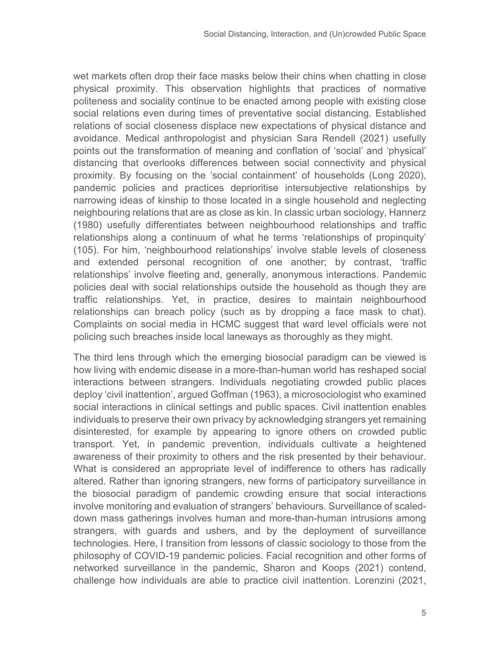wet markets often drop their face masks below their chins when chatting in close physical proximity. This observation highlights that practices of normative politeness and sociality continue to be enacted among people with existing close social relations even during times of preventative social distancing. Established relations of social closeness displace new expectations of physical distance and avoidance. Medical anthropologist and physician Sara Rendell (2021) usefully points out the transformation of meaning and conflation of 'social' and 'physical' distancing that overlooks differences between social connectivity and physical proximity. By focusing on the 'social containment' of households (Long 2020), pandemic policies and practices deprioritise intersubjective relationships by narrowing ideas of kinship to those located in a single household and neglecting neighbouring relations that are as close as kin. In classic urban sociology, Hannerz (1980) usefully differentiates between neighbourhood relationships and traffic relationships along a continuum of what he terms 'relationships of propinquity' (105). For him, 'neighbourhood relationships' involve stable levels of closeness and extended personal recognition of one another; by contrast, 'traffic relationships' involve fleeting and, generally, anonymous interactions. Pandemic policies deal with social relationships outside the household as though they are traffic relationships. Yet, in practice, desires to maintain neighbourhood relationships can breach policy (such as by dropping a face mask to chat). Complaints on social media in HCMC suggest that ward level officials were not policing such breaches inside local laneways as thoroughly as they might.

The third lens through which the emerging biosocial paradigm can be viewed is how living with endemic disease in a more-than-human world has reshaped social interactions between strangers. Individuals negotiating crowded public places deploy 'civil inattention', argued Goffman (1963), a microsociologist who examined social interactions in clinical settings and public spaces. Civil inattention enables individuals to preserve their own privacy by acknowledging strangers yet remaining disinterested, for example by appearing to ignore others on crowded public transport. Yet, in pandemic prevention, individuals cultivate a heightened awareness of their proximity to others and the risk presented by their behaviour. What is considered an appropriate level of indifference to others has radically altered. Rather than ignoring strangers, new forms of participatory surveillance in the biosocial paradigm of pandemic crowding ensure that social interactions involve monitoring and evaluation of strangers' behaviours. Surveillance of scaleddown mass gatherings involves human and more-than-human intrusions among strangers, with guards and ushers, and by the deployment of surveillance technologies. Here, I transition from lessons of classic sociology to those from the philosophy of COVID-19 pandemic policies. Facial recognition and other forms of networked surveillance in the pandemic, Sharon and Koops (2021) contend, challenge how individuals are able to practice civil inattention. Lorenzini (2021,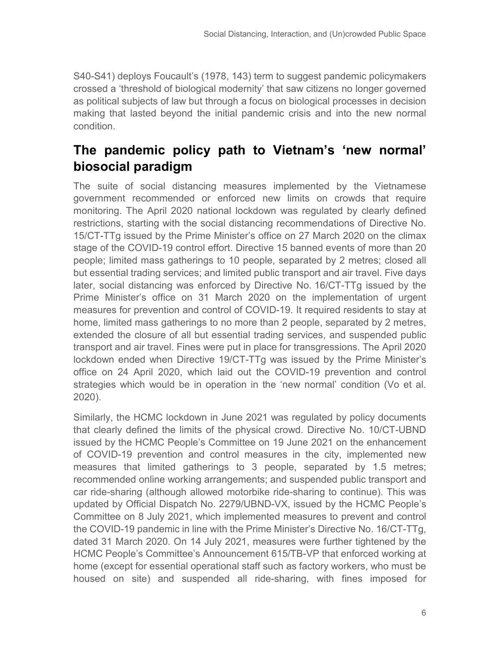S40-S41) deploys Foucault's (1978, 143) term to suggest pandemic policymakers crossed a 'threshold of biological modernity' that saw citizens no longer governed as political subjects of law but through a focus on biological processes in decision making that lasted beyond the initial pandemic crisis and into the new normal condition.

## **The pandemic policy path to Vietnam's 'new normal' biosocial paradigm**

The suite of social distancing measures implemented by the Vietnamese government recommended or enforced new limits on crowds that require monitoring. The April 2020 national lockdown was regulated by clearly defined restrictions, starting with the social distancing recommendations of Directive No. 15/CT-TTg issued by the Prime Minister's office on 27 March 2020 on the climax stage of the COVID-19 control effort. Directive 15 banned events of more than 20 people; limited mass gatherings to 10 people, separated by 2 metres; closed all but essential trading services; and limited public transport and air travel. Five days later, social distancing was enforced by Directive No. 16/CT-TTg issued by the Prime Minister's office on 31 March 2020 on the implementation of urgent measures for prevention and control of COVID-19. It required residents to stay at home, limited mass gatherings to no more than 2 people, separated by 2 metres, extended the closure of all but essential trading services, and suspended public transport and air travel. Fines were put in place for transgressions. The April 2020 lockdown ended when Directive 19/CT-TTg was issued by the Prime Minister's office on 24 April 2020, which laid out the COVID-19 prevention and control strategies which would be in operation in the 'new normal' condition (Vo et al. 2020).

Similarly, the HCMC lockdown in June 2021 was regulated by policy documents that clearly defined the limits of the physical crowd. Directive No. 10/CT-UBND issued by the HCMC People's Committee on 19 June 2021 on the enhancement of COVID-19 prevention and control measures in the city, implemented new measures that limited gatherings to 3 people, separated by 1.5 metres; recommended online working arrangements; and suspended public transport and car ride-sharing (although allowed motorbike ride-sharing to continue). This was updated by Official Dispatch No. 2279/UBND-VX, issued by the HCMC People's Committee on 8 July 2021, which implemented measures to prevent and control the COVID-19 pandemic in line with the Prime Minister's Directive No. 16/CT-TTg, dated 31 March 2020. On 14 July 2021, measures were further tightened by the HCMC People's Committee's Announcement 615/TB-VP that enforced working at home (except for essential operational staff such as factory workers, who must be housed on site) and suspended all ride-sharing, with fines imposed for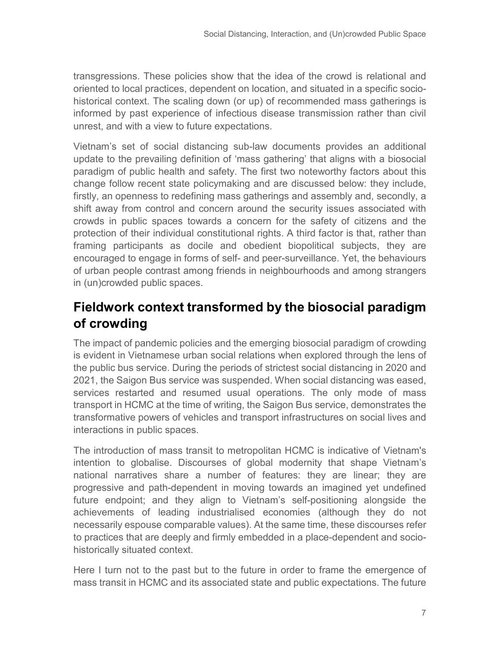transgressions. These policies show that the idea of the crowd is relational and oriented to local practices, dependent on location, and situated in a specific sociohistorical context. The scaling down (or up) of recommended mass gatherings is informed by past experience of infectious disease transmission rather than civil unrest, and with a view to future expectations.

Vietnam's set of social distancing sub-law documents provides an additional update to the prevailing definition of 'mass gathering' that aligns with a biosocial paradigm of public health and safety. The first two noteworthy factors about this change follow recent state policymaking and are discussed below: they include, firstly, an openness to redefining mass gatherings and assembly and, secondly, a shift away from control and concern around the security issues associated with crowds in public spaces towards a concern for the safety of citizens and the protection of their individual constitutional rights. A third factor is that, rather than framing participants as docile and obedient biopolitical subjects, they are encouraged to engage in forms of self- and peer-surveillance. Yet, the behaviours of urban people contrast among friends in neighbourhoods and among strangers in (un)crowded public spaces.

## **Fieldwork context transformed by the biosocial paradigm of crowding**

The impact of pandemic policies and the emerging biosocial paradigm of crowding is evident in Vietnamese urban social relations when explored through the lens of the public bus service. During the periods of strictest social distancing in 2020 and 2021, the Saigon Bus service was suspended. When social distancing was eased, services restarted and resumed usual operations. The only mode of mass transport in HCMC at the time of writing, the Saigon Bus service, demonstrates the transformative powers of vehicles and transport infrastructures on social lives and interactions in public spaces.

The introduction of mass transit to metropolitan HCMC is indicative of Vietnam's intention to globalise. Discourses of global modernity that shape Vietnam's national narratives share a number of features: they are linear; they are progressive and path-dependent in moving towards an imagined yet undefined future endpoint; and they align to Vietnam's self-positioning alongside the achievements of leading industrialised economies (although they do not necessarily espouse comparable values). At the same time, these discourses refer to practices that are deeply and firmly embedded in a place-dependent and sociohistorically situated context.

Here I turn not to the past but to the future in order to frame the emergence of mass transit in HCMC and its associated state and public expectations. The future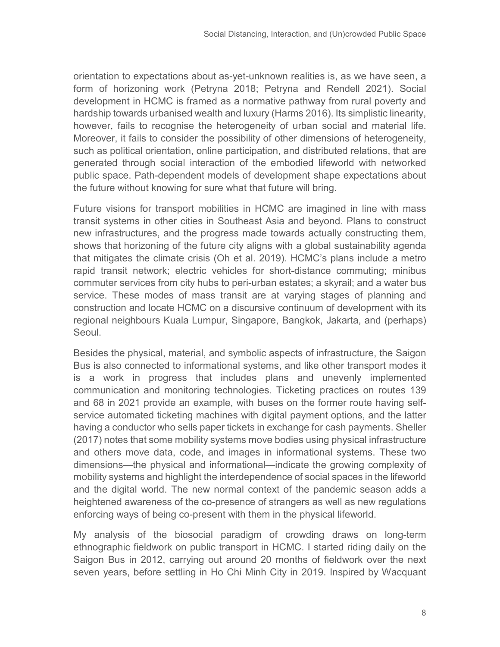orientation to expectations about as-yet-unknown realities is, as we have seen, a form of horizoning work (Petryna 2018; Petryna and Rendell 2021). Social development in HCMC is framed as a normative pathway from rural poverty and hardship towards urbanised wealth and luxury (Harms 2016). Its simplistic linearity, however, fails to recognise the heterogeneity of urban social and material life. Moreover, it fails to consider the possibility of other dimensions of heterogeneity, such as political orientation, online participation, and distributed relations, that are generated through social interaction of the embodied lifeworld with networked public space. Path-dependent models of development shape expectations about the future without knowing for sure what that future will bring.

Future visions for transport mobilities in HCMC are imagined in line with mass transit systems in other cities in Southeast Asia and beyond. Plans to construct new infrastructures, and the progress made towards actually constructing them, shows that horizoning of the future city aligns with a global sustainability agenda that mitigates the climate crisis (Oh et al. 2019). HCMC's plans include a metro rapid transit network; electric vehicles for short-distance commuting; minibus commuter services from city hubs to peri-urban estates; a skyrail; and a water bus service. These modes of mass transit are at varying stages of planning and construction and locate HCMC on a discursive continuum of development with its regional neighbours Kuala Lumpur, Singapore, Bangkok, Jakarta, and (perhaps) Seoul.

Besides the physical, material, and symbolic aspects of infrastructure, the Saigon Bus is also connected to informational systems, and like other transport modes it is a work in progress that includes plans and unevenly implemented communication and monitoring technologies. Ticketing practices on routes 139 and 68 in 2021 provide an example, with buses on the former route having selfservice automated ticketing machines with digital payment options, and the latter having a conductor who sells paper tickets in exchange for cash payments. Sheller (2017) notes that some mobility systems move bodies using physical infrastructure and others move data, code, and images in informational systems. These two dimensions—the physical and informational—indicate the growing complexity of mobility systems and highlight the interdependence of social spaces in the lifeworld and the digital world. The new normal context of the pandemic season adds a heightened awareness of the co-presence of strangers as well as new regulations enforcing ways of being co-present with them in the physical lifeworld.

My analysis of the biosocial paradigm of crowding draws on long-term ethnographic fieldwork on public transport in HCMC. I started riding daily on the Saigon Bus in 2012, carrying out around 20 months of fieldwork over the next seven years, before settling in Ho Chi Minh City in 2019. Inspired by Wacquant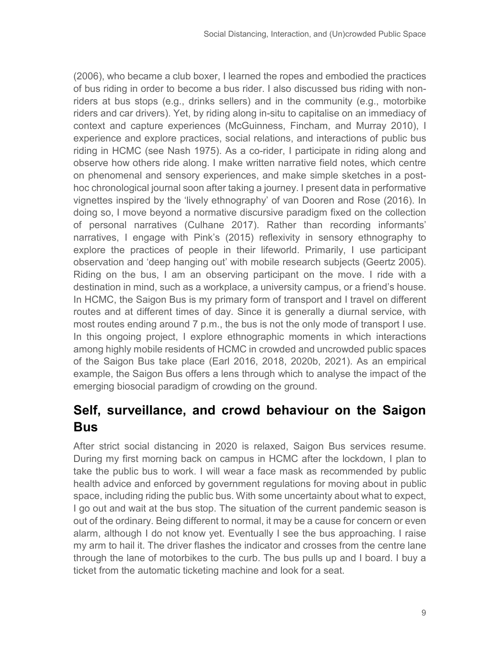(2006), who became a club boxer, I learned the ropes and embodied the practices of bus riding in order to become a bus rider. I also discussed bus riding with nonriders at bus stops (e.g., drinks sellers) and in the community (e.g., motorbike riders and car drivers). Yet, by riding along in-situ to capitalise on an immediacy of context and capture experiences (McGuinness, Fincham, and Murray 2010), I experience and explore practices, social relations, and interactions of public bus riding in HCMC (see Nash 1975). As a co-rider, I participate in riding along and observe how others ride along. I make written narrative field notes, which centre on phenomenal and sensory experiences, and make simple sketches in a posthoc chronological journal soon after taking a journey. I present data in performative vignettes inspired by the 'lively ethnography' of van Dooren and Rose (2016). In doing so, I move beyond a normative discursive paradigm fixed on the collection of personal narratives (Culhane 2017). Rather than recording informants' narratives, I engage with Pink's (2015) reflexivity in sensory ethnography to explore the practices of people in their lifeworld. Primarily, I use participant observation and 'deep hanging out' with mobile research subjects (Geertz 2005). Riding on the bus, I am an observing participant on the move. I ride with a destination in mind, such as a workplace, a university campus, or a friend's house. In HCMC, the Saigon Bus is my primary form of transport and I travel on different routes and at different times of day. Since it is generally a diurnal service, with most routes ending around 7 p.m., the bus is not the only mode of transport I use. In this ongoing project, I explore ethnographic moments in which interactions among highly mobile residents of HCMC in crowded and uncrowded public spaces of the Saigon Bus take place (Earl 2016, 2018, 2020b, 2021). As an empirical example, the Saigon Bus offers a lens through which to analyse the impact of the emerging biosocial paradigm of crowding on the ground.

#### **Self, surveillance, and crowd behaviour on the Saigon Bus**

After strict social distancing in 2020 is relaxed, Saigon Bus services resume. During my first morning back on campus in HCMC after the lockdown, I plan to take the public bus to work. I will wear a face mask as recommended by public health advice and enforced by government regulations for moving about in public space, including riding the public bus. With some uncertainty about what to expect, I go out and wait at the bus stop. The situation of the current pandemic season is out of the ordinary. Being different to normal, it may be a cause for concern or even alarm, although I do not know yet. Eventually I see the bus approaching. I raise my arm to hail it. The driver flashes the indicator and crosses from the centre lane through the lane of motorbikes to the curb. The bus pulls up and I board. I buy a ticket from the automatic ticketing machine and look for a seat.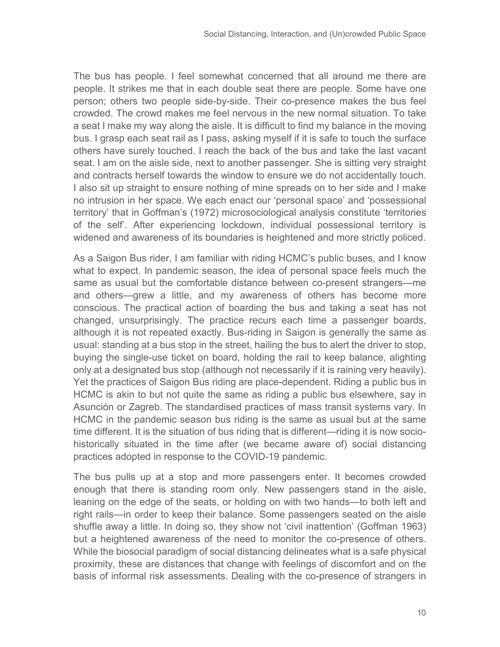The bus has people. I feel somewhat concerned that all around me there are people. It strikes me that in each double seat there are people. Some have one person; others two people side-by-side. Their co-presence makes the bus feel crowded. The crowd makes me feel nervous in the new normal situation. To take a seat I make my way along the aisle. It is difficult to find my balance in the moving bus. I grasp each seat rail as I pass, asking myself if it is safe to touch the surface others have surely touched. I reach the back of the bus and take the last vacant seat. I am on the aisle side, next to another passenger. She is sitting very straight and contracts herself towards the window to ensure we do not accidentally touch. I also sit up straight to ensure nothing of mine spreads on to her side and I make no intrusion in her space. We each enact our 'personal space' and 'possessional territory' that in Goffman's (1972) microsociological analysis constitute 'territories of the self'. After experiencing lockdown, individual possessional territory is widened and awareness of its boundaries is heightened and more strictly policed.

As a Saigon Bus rider, I am familiar with riding HCMC's public buses, and I know what to expect. In pandemic season, the idea of personal space feels much the same as usual but the comfortable distance between co-present strangers—me and others—grew a little, and my awareness of others has become more conscious. The practical action of boarding the bus and taking a seat has not changed, unsurprisingly. The practice recurs each time a passenger boards, although it is not repeated exactly. Bus-riding in Saigon is generally the same as usual: standing at a bus stop in the street, hailing the bus to alert the driver to stop, buying the single-use ticket on board, holding the rail to keep balance, alighting only at a designated bus stop (although not necessarily if it is raining very heavily). Yet the practices of Saigon Bus riding are place-dependent. Riding a public bus in HCMC is akin to but not quite the same as riding a public bus elsewhere, say in Asunción or Zagreb. The standardised practices of mass transit systems vary. In HCMC in the pandemic season bus riding is the same as usual but at the same time different. It is the situation of bus riding that is different—riding it is now sociohistorically situated in the time after (we became aware of) social distancing practices adopted in response to the COVID-19 pandemic.

The bus pulls up at a stop and more passengers enter. It becomes crowded enough that there is standing room only. New passengers stand in the aisle, leaning on the edge of the seats, or holding on with two hands—to both left and right rails—in order to keep their balance. Some passengers seated on the aisle shuffle away a little. In doing so, they show not 'civil inattention' (Goffman 1963) but a heightened awareness of the need to monitor the co-presence of others. While the biosocial paradigm of social distancing delineates what is a safe physical proximity, these are distances that change with feelings of discomfort and on the basis of informal risk assessments. Dealing with the co-presence of strangers in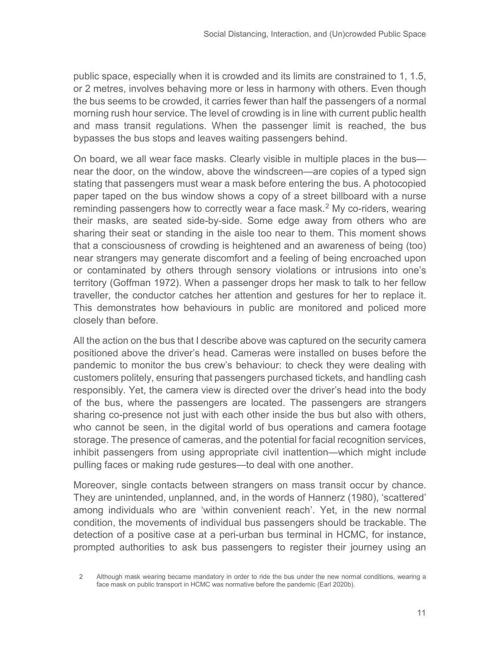public space, especially when it is crowded and its limits are constrained to 1, 1.5, or 2 metres, involves behaving more or less in harmony with others. Even though the bus seems to be crowded, it carries fewer than half the passengers of a normal morning rush hour service. The level of crowding is in line with current public health and mass transit regulations. When the passenger limit is reached, the bus bypasses the bus stops and leaves waiting passengers behind.

On board, we all wear face masks. Clearly visible in multiple places in the bus near the door, on the window, above the windscreen—are copies of a typed sign stating that passengers must wear a mask before entering the bus. A photocopied paper taped on the bus window shows a copy of a street billboard with a nurse reminding passengers how to correctly wear a face mask.<sup>[2](#page-10-0)</sup> My co-riders, wearing their masks, are seated side-by-side. Some edge away from others who are sharing their seat or standing in the aisle too near to them. This moment shows that a consciousness of crowding is heightened and an awareness of being (too) near strangers may generate discomfort and a feeling of being encroached upon or contaminated by others through sensory violations or intrusions into one's territory (Goffman 1972). When a passenger drops her mask to talk to her fellow traveller, the conductor catches her attention and gestures for her to replace it. This demonstrates how behaviours in public are monitored and policed more closely than before.

All the action on the bus that I describe above was captured on the security camera positioned above the driver's head. Cameras were installed on buses before the pandemic to monitor the bus crew's behaviour: to check they were dealing with customers politely, ensuring that passengers purchased tickets, and handling cash responsibly. Yet, the camera view is directed over the driver's head into the body of the bus, where the passengers are located. The passengers are strangers sharing co-presence not just with each other inside the bus but also with others, who cannot be seen, in the digital world of bus operations and camera footage storage. The presence of cameras, and the potential for facial recognition services, inhibit passengers from using appropriate civil inattention—which might include pulling faces or making rude gestures—to deal with one another.

Moreover, single contacts between strangers on mass transit occur by chance. They are unintended, unplanned, and, in the words of Hannerz (1980), 'scattered' among individuals who are 'within convenient reach'. Yet, in the new normal condition, the movements of individual bus passengers should be trackable. The detection of a positive case at a peri-urban bus terminal in HCMC, for instance, prompted authorities to ask bus passengers to register their journey using an

<span id="page-10-0"></span><sup>2</sup> Although mask wearing became mandatory in order to ride the bus under the new normal conditions, wearing a face mask on public transport in HCMC was normative before the pandemic (Earl 2020b).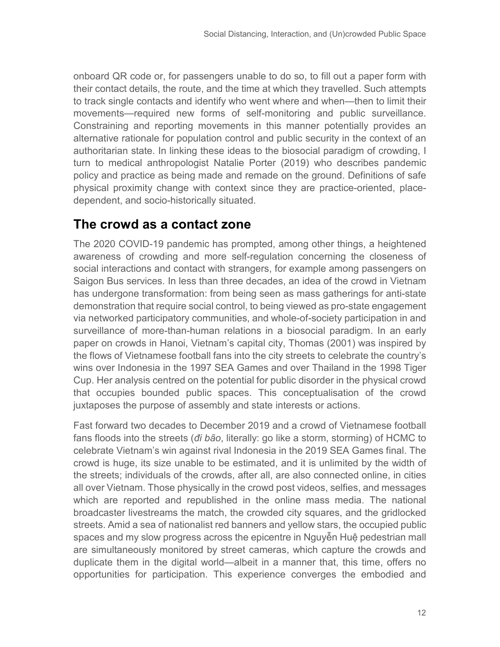onboard QR code or, for passengers unable to do so, to fill out a paper form with their contact details, the route, and the time at which they travelled. Such attempts to track single contacts and identify who went where and when—then to limit their movements—required new forms of self-monitoring and public surveillance. Constraining and reporting movements in this manner potentially provides an alternative rationale for population control and public security in the context of an authoritarian state. In linking these ideas to the biosocial paradigm of crowding, I turn to medical anthropologist Natalie Porter (2019) who describes pandemic policy and practice as being made and remade on the ground. Definitions of safe physical proximity change with context since they are practice-oriented, placedependent, and socio-historically situated.

#### **The crowd as a contact zone**

The 2020 COVID-19 pandemic has prompted, among other things, a heightened awareness of crowding and more self-regulation concerning the closeness of social interactions and contact with strangers, for example among passengers on Saigon Bus services. In less than three decades, an idea of the crowd in Vietnam has undergone transformation: from being seen as mass gatherings for anti-state demonstration that require social control, to being viewed as pro-state engagement via networked participatory communities, and whole-of-society participation in and surveillance of more-than-human relations in a biosocial paradigm. In an early paper on crowds in Hanoi, Vietnam's capital city, Thomas (2001) was inspired by the flows of Vietnamese football fans into the city streets to celebrate the country's wins over Indonesia in the 1997 SEA Games and over Thailand in the 1998 Tiger Cup. Her analysis centred on the potential for public disorder in the physical crowd that occupies bounded public spaces. This conceptualisation of the crowd juxtaposes the purpose of assembly and state interests or actions.

Fast forward two decades to December 2019 and a crowd of Vietnamese football fans floods into the streets (*đi bão*, literally: go like a storm, storming) of HCMC to celebrate Vietnam's win against rival Indonesia in the 2019 SEA Games final. The crowd is huge, its size unable to be estimated, and it is unlimited by the width of the streets; individuals of the crowds, after all, are also connected online, in cities all over Vietnam. Those physically in the crowd post videos, selfies, and messages which are reported and republished in the online mass media. The national broadcaster livestreams the match, the crowded city squares, and the gridlocked streets. Amid a sea of nationalist red banners and yellow stars, the occupied public spaces and my slow progress across the epicentre in Nguyễn Huệ pedestrian mall are simultaneously monitored by street cameras, which capture the crowds and duplicate them in the digital world—albeit in a manner that, this time, offers no opportunities for participation. This experience converges the embodied and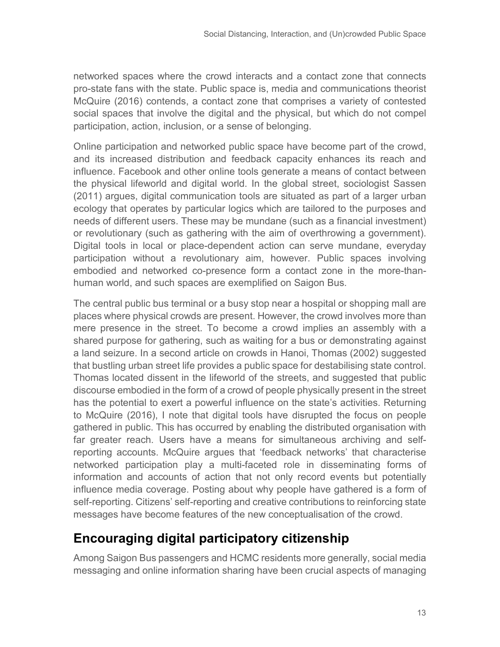networked spaces where the crowd interacts and a contact zone that connects pro-state fans with the state. Public space is, media and communications theorist McQuire (2016) contends, a contact zone that comprises a variety of contested social spaces that involve the digital and the physical, but which do not compel participation, action, inclusion, or a sense of belonging.

Online participation and networked public space have become part of the crowd, and its increased distribution and feedback capacity enhances its reach and influence. Facebook and other online tools generate a means of contact between the physical lifeworld and digital world. In the global street, sociologist Sassen (2011) argues, digital communication tools are situated as part of a larger urban ecology that operates by particular logics which are tailored to the purposes and needs of different users. These may be mundane (such as a financial investment) or revolutionary (such as gathering with the aim of overthrowing a government). Digital tools in local or place-dependent action can serve mundane, everyday participation without a revolutionary aim, however. Public spaces involving embodied and networked co-presence form a contact zone in the more-thanhuman world, and such spaces are exemplified on Saigon Bus.

The central public bus terminal or a busy stop near a hospital or shopping mall are places where physical crowds are present. However, the crowd involves more than mere presence in the street. To become a crowd implies an assembly with a shared purpose for gathering, such as waiting for a bus or demonstrating against a land seizure. In a second article on crowds in Hanoi, Thomas (2002) suggested that bustling urban street life provides a public space for destabilising state control. Thomas located dissent in the lifeworld of the streets, and suggested that public discourse embodied in the form of a crowd of people physically present in the street has the potential to exert a powerful influence on the state's activities. Returning to McQuire (2016), I note that digital tools have disrupted the focus on people gathered in public. This has occurred by enabling the distributed organisation with far greater reach. Users have a means for simultaneous archiving and selfreporting accounts. McQuire argues that 'feedback networks' that characterise networked participation play a multi-faceted role in disseminating forms of information and accounts of action that not only record events but potentially influence media coverage. Posting about why people have gathered is a form of self-reporting. Citizens' self-reporting and creative contributions to reinforcing state messages have become features of the new conceptualisation of the crowd.

## **Encouraging digital participatory citizenship**

Among Saigon Bus passengers and HCMC residents more generally, social media messaging and online information sharing have been crucial aspects of managing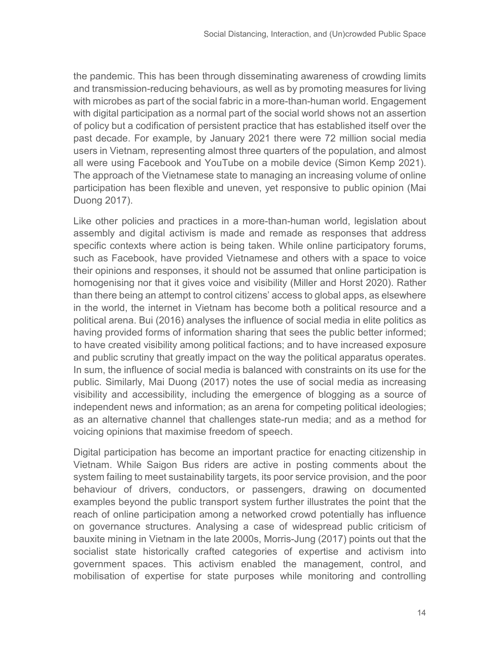the pandemic. This has been through disseminating awareness of crowding limits and transmission-reducing behaviours, as well as by promoting measures for living with microbes as part of the social fabric in a more-than-human world. Engagement with digital participation as a normal part of the social world shows not an assertion of policy but a codification of persistent practice that has established itself over the past decade. For example, by January 2021 there were 72 million social media users in Vietnam, representing almost three quarters of the population, and almost all were using Facebook and YouTube on a mobile device (Simon Kemp 2021). The approach of the Vietnamese state to managing an increasing volume of online participation has been flexible and uneven, yet responsive to public opinion (Mai Duong 2017).

Like other policies and practices in a more-than-human world, legislation about assembly and digital activism is made and remade as responses that address specific contexts where action is being taken. While online participatory forums, such as Facebook, have provided Vietnamese and others with a space to voice their opinions and responses, it should not be assumed that online participation is homogenising nor that it gives voice and visibility (Miller and Horst 2020). Rather than there being an attempt to control citizens' access to global apps, as elsewhere in the world, the internet in Vietnam has become both a political resource and a political arena. Bui (2016) analyses the influence of social media in elite politics as having provided forms of information sharing that sees the public better informed; to have created visibility among political factions; and to have increased exposure and public scrutiny that greatly impact on the way the political apparatus operates. In sum, the influence of social media is balanced with constraints on its use for the public. Similarly, Mai Duong (2017) notes the use of social media as increasing visibility and accessibility, including the emergence of blogging as a source of independent news and information; as an arena for competing political ideologies; as an alternative channel that challenges state-run media; and as a method for voicing opinions that maximise freedom of speech.

Digital participation has become an important practice for enacting citizenship in Vietnam. While Saigon Bus riders are active in posting comments about the system failing to meet sustainability targets, its poor service provision, and the poor behaviour of drivers, conductors, or passengers, drawing on documented examples beyond the public transport system further illustrates the point that the reach of online participation among a networked crowd potentially has influence on governance structures. Analysing a case of widespread public criticism of bauxite mining in Vietnam in the late 2000s, Morris-Jung (2017) points out that the socialist state historically crafted categories of expertise and activism into government spaces. This activism enabled the management, control, and mobilisation of expertise for state purposes while monitoring and controlling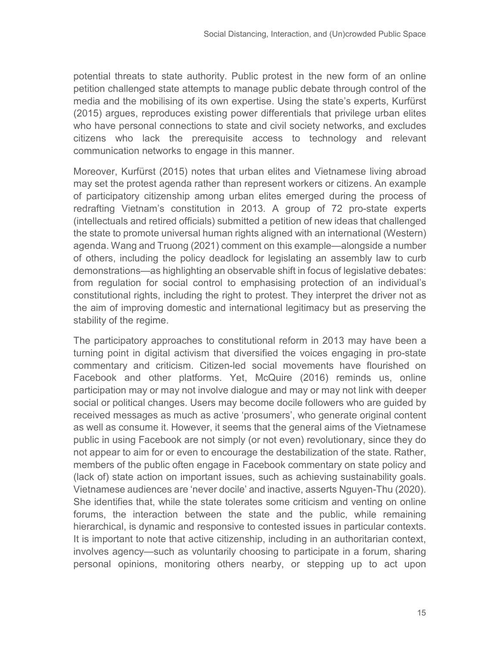potential threats to state authority. Public protest in the new form of an online petition challenged state attempts to manage public debate through control of the media and the mobilising of its own expertise. Using the state's experts, Kurfürst (2015) argues, reproduces existing power differentials that privilege urban elites who have personal connections to state and civil society networks, and excludes citizens who lack the prerequisite access to technology and relevant communication networks to engage in this manner.

Moreover, Kurfürst (2015) notes that urban elites and Vietnamese living abroad may set the protest agenda rather than represent workers or citizens. An example of participatory citizenship among urban elites emerged during the process of redrafting Vietnam's constitution in 2013. A group of 72 pro-state experts (intellectuals and retired officials) submitted a petition of new ideas that challenged the state to promote universal human rights aligned with an international (Western) agenda. Wang and Truong (2021) comment on this example—alongside a number of others, including the policy deadlock for legislating an assembly law to curb demonstrations—as highlighting an observable shift in focus of legislative debates: from regulation for social control to emphasising protection of an individual's constitutional rights, including the right to protest. They interpret the driver not as the aim of improving domestic and international legitimacy but as preserving the stability of the regime.

The participatory approaches to constitutional reform in 2013 may have been a turning point in digital activism that diversified the voices engaging in pro-state commentary and criticism. Citizen-led social movements have flourished on Facebook and other platforms. Yet, McQuire (2016) reminds us, online participation may or may not involve dialogue and may or may not link with deeper social or political changes. Users may become docile followers who are guided by received messages as much as active 'prosumers', who generate original content as well as consume it. However, it seems that the general aims of the Vietnamese public in using Facebook are not simply (or not even) revolutionary, since they do not appear to aim for or even to encourage the destabilization of the state. Rather, members of the public often engage in Facebook commentary on state policy and (lack of) state action on important issues, such as achieving sustainability goals. Vietnamese audiences are 'never docile' and inactive, asserts Nguyen-Thu (2020). She identifies that, while the state tolerates some criticism and venting on online forums, the interaction between the state and the public, while remaining hierarchical, is dynamic and responsive to contested issues in particular contexts. It is important to note that active citizenship, including in an authoritarian context, involves agency—such as voluntarily choosing to participate in a forum, sharing personal opinions, monitoring others nearby, or stepping up to act upon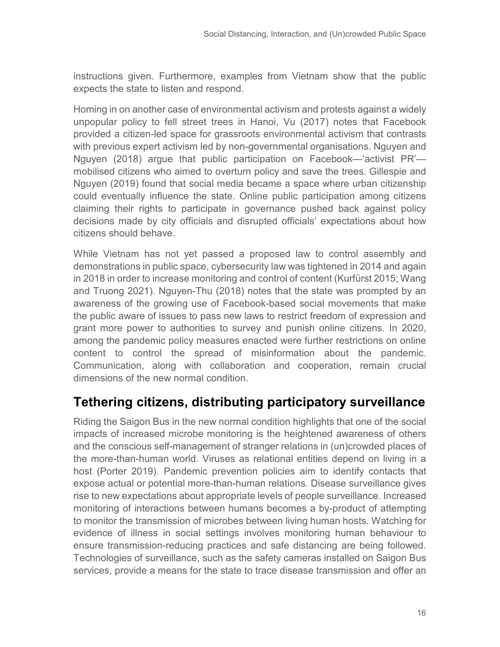instructions given. Furthermore, examples from Vietnam show that the public expects the state to listen and respond.

Homing in on another case of environmental activism and protests against a widely unpopular policy to fell street trees in Hanoi, Vu (2017) notes that Facebook provided a citizen-led space for grassroots environmental activism that contrasts with previous expert activism led by non-governmental organisations. Nguyen and Nguyen (2018) argue that public participation on Facebook—'activist PR' mobilised citizens who aimed to overturn policy and save the trees. Gillespie and Nguyen (2019) found that social media became a space where urban citizenship could eventually influence the state. Online public participation among citizens claiming their rights to participate in governance pushed back against policy decisions made by city officials and disrupted officials' expectations about how citizens should behave.

While Vietnam has not yet passed a proposed law to control assembly and demonstrations in public space, cybersecurity law was tightened in 2014 and again in 2018 in order to increase monitoring and control of content (Kurfürst 2015; Wang and Truong 2021). Nguyen-Thu (2018) notes that the state was prompted by an awareness of the growing use of Facebook-based social movements that make the public aware of issues to pass new laws to restrict freedom of expression and grant more power to authorities to survey and punish online citizens. In 2020, among the pandemic policy measures enacted were further restrictions on online content to control the spread of misinformation about the pandemic. Communication, along with collaboration and cooperation, remain crucial dimensions of the new normal condition.

## **Tethering citizens, distributing participatory surveillance**

Riding the Saigon Bus in the new normal condition highlights that one of the social impacts of increased microbe monitoring is the heightened awareness of others and the conscious self-management of stranger relations in (un)crowded places of the more-than-human world. Viruses as relational entities depend on living in a host (Porter 2019). Pandemic prevention policies aim to identify contacts that expose actual or potential more-than-human relations. Disease surveillance gives rise to new expectations about appropriate levels of people surveillance. Increased monitoring of interactions between humans becomes a by-product of attempting to monitor the transmission of microbes between living human hosts. Watching for evidence of illness in social settings involves monitoring human behaviour to ensure transmission-reducing practices and safe distancing are being followed. Technologies of surveillance, such as the safety cameras installed on Saigon Bus services, provide a means for the state to trace disease transmission and offer an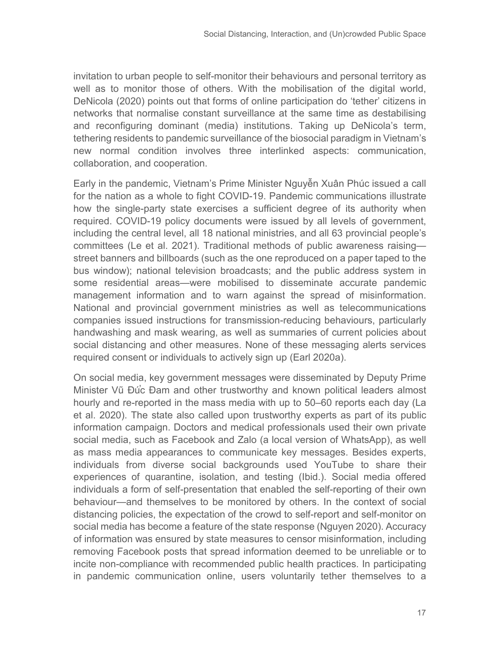invitation to urban people to self-monitor their behaviours and personal territory as well as to monitor those of others. With the mobilisation of the digital world, DeNicola (2020) points out that forms of online participation do 'tether' citizens in networks that normalise constant surveillance at the same time as destabilising and reconfiguring dominant (media) institutions. Taking up DeNicola's term, tethering residents to pandemic surveillance of the biosocial paradigm in Vietnam's new normal condition involves three interlinked aspects: communication, collaboration, and cooperation.

Early in the pandemic, Vietnam's Prime Minister Nguyễn Xuân Phúc issued a call for the nation as a whole to fight COVID-19. Pandemic communications illustrate how the single-party state exercises a sufficient degree of its authority when required. COVID-19 policy documents were issued by all levels of government, including the central level, all 18 national ministries, and all 63 provincial people's committees (Le et al. 2021). Traditional methods of public awareness raising street banners and billboards (such as the one reproduced on a paper taped to the bus window); national television broadcasts; and the public address system in some residential areas—were mobilised to disseminate accurate pandemic management information and to warn against the spread of misinformation. National and provincial government ministries as well as telecommunications companies issued instructions for transmission-reducing behaviours, particularly handwashing and mask wearing, as well as summaries of current policies about social distancing and other measures. None of these messaging alerts services required consent or individuals to actively sign up (Earl 2020a).

On social media, key government messages were disseminated by Deputy Prime Minister Vũ Đú̕ c Đam and other trustworthy and known political leaders almost hourly and re-reported in the mass media with up to 50–60 reports each day (La et al. 2020). The state also called upon trustworthy experts as part of its public information campaign. Doctors and medical professionals used their own private social media, such as Facebook and Zalo (a local version of WhatsApp), as well as mass media appearances to communicate key messages. Besides experts, individuals from diverse social backgrounds used YouTube to share their experiences of quarantine, isolation, and testing (Ibid.). Social media offered individuals a form of self-presentation that enabled the self-reporting of their own behaviour—and themselves to be monitored by others. In the context of social distancing policies, the expectation of the crowd to self-report and self-monitor on social media has become a feature of the state response (Nguyen 2020). Accuracy of information was ensured by state measures to censor misinformation, including removing Facebook posts that spread information deemed to be unreliable or to incite non-compliance with recommended public health practices. In participating in pandemic communication online, users voluntarily tether themselves to a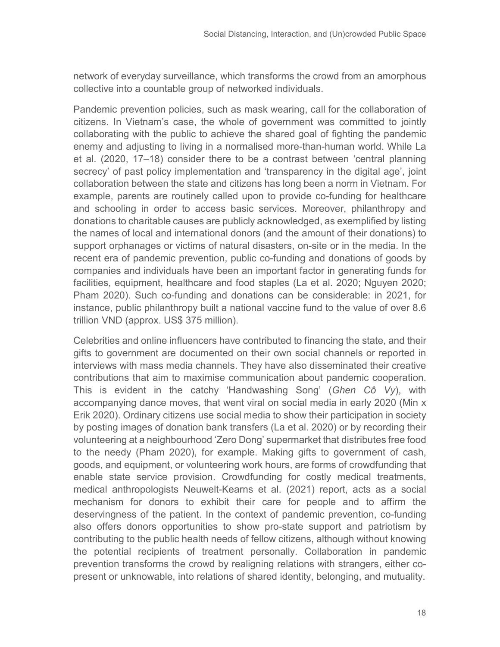network of everyday surveillance, which transforms the crowd from an amorphous collective into a countable group of networked individuals.

Pandemic prevention policies, such as mask wearing, call for the collaboration of citizens. In Vietnam's case, the whole of government was committed to jointly collaborating with the public to achieve the shared goal of fighting the pandemic enemy and adjusting to living in a normalised more-than-human world. While La et al. (2020, 17–18) consider there to be a contrast between 'central planning secrecy' of past policy implementation and 'transparency in the digital age', joint collaboration between the state and citizens has long been a norm in Vietnam. For example, parents are routinely called upon to provide co-funding for healthcare and schooling in order to access basic services. Moreover, philanthropy and donations to charitable causes are publicly acknowledged, as exemplified by listing the names of local and international donors (and the amount of their donations) to support orphanages or victims of natural disasters, on-site or in the media. In the recent era of pandemic prevention, public co-funding and donations of goods by companies and individuals have been an important factor in generating funds for facilities, equipment, healthcare and food staples (La et al. 2020; Nguyen 2020; Pham 2020). Such co-funding and donations can be considerable: in 2021, for instance, public philanthropy built a national vaccine fund to the value of over 8.6 trillion VND (approx. US\$ 375 million).

Celebrities and online influencers have contributed to financing the state, and their gifts to government are documented on their own social channels or reported in interviews with mass media channels. They have also disseminated their creative contributions that aim to maximise communication about pandemic cooperation. This is evident in the catchy 'Handwashing Song' (*Ghen Cô Vy*), with accompanying dance moves, that went viral on social media in early 2020 (Min x Erik 2020). Ordinary citizens use social media to show their participation in society by posting images of donation bank transfers (La et al. 2020) or by recording their volunteering at a neighbourhood 'Zero Dong' supermarket that distributes free food to the needy (Pham 2020), for example. Making gifts to government of cash, goods, and equipment, or volunteering work hours, are forms of crowdfunding that enable state service provision. Crowdfunding for costly medical treatments, medical anthropologists Neuwelt-Kearns et al. (2021) report, acts as a social mechanism for donors to exhibit their care for people and to affirm the deservingness of the patient. In the context of pandemic prevention, co-funding also offers donors opportunities to show pro-state support and patriotism by contributing to the public health needs of fellow citizens, although without knowing the potential recipients of treatment personally. Collaboration in pandemic prevention transforms the crowd by realigning relations with strangers, either copresent or unknowable, into relations of shared identity, belonging, and mutuality.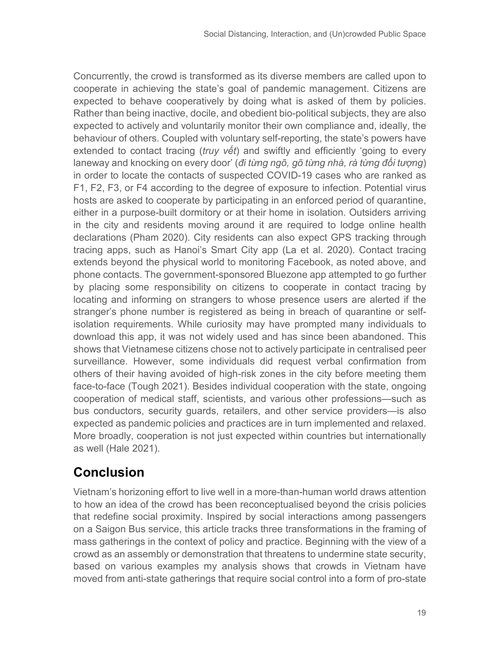Concurrently, the crowd is transformed as its diverse members are called upon to cooperate in achieving the state's goal of pandemic management. Citizens are expected to behave cooperatively by doing what is asked of them by policies. Rather than being inactive, docile, and obedient bio-political subjects, they are also expected to actively and voluntarily monitor their own compliance and, ideally, the behaviour of others. Coupled with voluntary self-reporting, the state's powers have extended to contact tracing (*truy vết*) and swiftly and efficiently 'going to every laneway and knocking on every door' (*đi từng ngõ, gõ từng nhà, rà từng đối tượng*) in order to locate the contacts of suspected COVID-19 cases who are ranked as F1, F2, F3, or F4 according to the degree of exposure to infection. Potential virus hosts are asked to cooperate by participating in an enforced period of quarantine, either in a purpose-built dormitory or at their home in isolation. Outsiders arriving in the city and residents moving around it are required to lodge online health declarations (Pham 2020). City residents can also expect GPS tracking through tracing apps, such as Hanoi's Smart City app (La et al. 2020). Contact tracing extends beyond the physical world to monitoring Facebook, as noted above, and phone contacts. The government-sponsored Bluezone app attempted to go further by placing some responsibility on citizens to cooperate in contact tracing by locating and informing on strangers to whose presence users are alerted if the stranger's phone number is registered as being in breach of quarantine or selfisolation requirements. While curiosity may have prompted many individuals to download this app, it was not widely used and has since been abandoned. This shows that Vietnamese citizens chose not to actively participate in centralised peer surveillance. However, some individuals did request verbal confirmation from others of their having avoided of high-risk zones in the city before meeting them face-to-face (Tough 2021). Besides individual cooperation with the state, ongoing cooperation of medical staff, scientists, and various other professions—such as bus conductors, security guards, retailers, and other service providers—is also expected as pandemic policies and practices are in turn implemented and relaxed. More broadly, cooperation is not just expected within countries but internationally as well (Hale 2021).

## **Conclusion**

Vietnam's horizoning effort to live well in a more-than-human world draws attention to how an idea of the crowd has been reconceptualised beyond the crisis policies that redefine social proximity. Inspired by social interactions among passengers on a Saigon Bus service, this article tracks three transformations in the framing of mass gatherings in the context of policy and practice. Beginning with the view of a crowd as an assembly or demonstration that threatens to undermine state security, based on various examples my analysis shows that crowds in Vietnam have moved from anti-state gatherings that require social control into a form of pro-state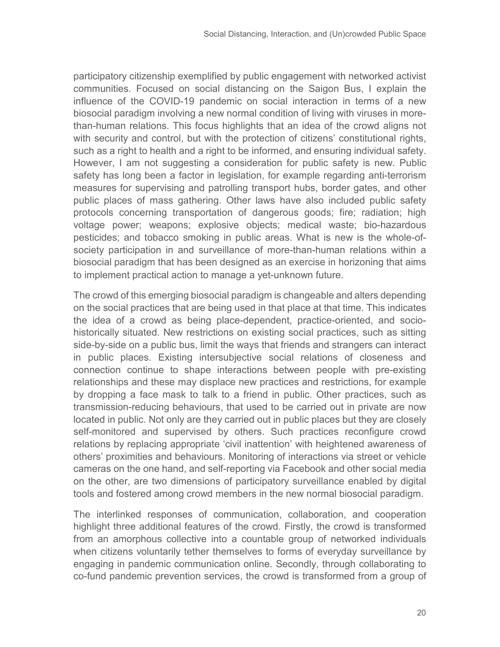participatory citizenship exemplified by public engagement with networked activist communities. Focused on social distancing on the Saigon Bus, I explain the influence of the COVID-19 pandemic on social interaction in terms of a new biosocial paradigm involving a new normal condition of living with viruses in morethan-human relations. This focus highlights that an idea of the crowd aligns not with security and control, but with the protection of citizens' constitutional rights, such as a right to health and a right to be informed, and ensuring individual safety. However, I am not suggesting a consideration for public safety is new. Public safety has long been a factor in legislation, for example regarding anti-terrorism measures for supervising and patrolling transport hubs, border gates, and other public places of mass gathering. Other laws have also included public safety protocols concerning transportation of dangerous goods; fire; radiation; high voltage power; weapons; explosive objects; medical waste; bio-hazardous pesticides; and tobacco smoking in public areas. What is new is the whole-ofsociety participation in and surveillance of more-than-human relations within a biosocial paradigm that has been designed as an exercise in horizoning that aims to implement practical action to manage a yet-unknown future.

The crowd of this emerging biosocial paradigm is changeable and alters depending on the social practices that are being used in that place at that time. This indicates the idea of a crowd as being place-dependent, practice-oriented, and sociohistorically situated. New restrictions on existing social practices, such as sitting side-by-side on a public bus, limit the ways that friends and strangers can interact in public places. Existing intersubjective social relations of closeness and connection continue to shape interactions between people with pre-existing relationships and these may displace new practices and restrictions, for example by dropping a face mask to talk to a friend in public. Other practices, such as transmission-reducing behaviours, that used to be carried out in private are now located in public. Not only are they carried out in public places but they are closely self-monitored and supervised by others. Such practices reconfigure crowd relations by replacing appropriate 'civil inattention' with heightened awareness of others' proximities and behaviours. Monitoring of interactions via street or vehicle cameras on the one hand, and self-reporting via Facebook and other social media on the other, are two dimensions of participatory surveillance enabled by digital tools and fostered among crowd members in the new normal biosocial paradigm.

The interlinked responses of communication, collaboration, and cooperation highlight three additional features of the crowd. Firstly, the crowd is transformed from an amorphous collective into a countable group of networked individuals when citizens voluntarily tether themselves to forms of everyday surveillance by engaging in pandemic communication online. Secondly, through collaborating to co-fund pandemic prevention services, the crowd is transformed from a group of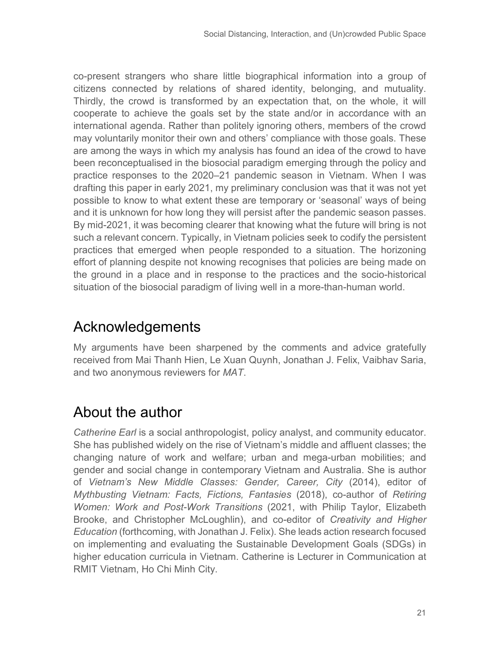co-present strangers who share little biographical information into a group of citizens connected by relations of shared identity, belonging, and mutuality. Thirdly, the crowd is transformed by an expectation that, on the whole, it will cooperate to achieve the goals set by the state and/or in accordance with an international agenda. Rather than politely ignoring others, members of the crowd may voluntarily monitor their own and others' compliance with those goals. These are among the ways in which my analysis has found an idea of the crowd to have been reconceptualised in the biosocial paradigm emerging through the policy and practice responses to the 2020–21 pandemic season in Vietnam. When I was drafting this paper in early 2021, my preliminary conclusion was that it was not yet possible to know to what extent these are temporary or 'seasonal' ways of being and it is unknown for how long they will persist after the pandemic season passes. By mid-2021, it was becoming clearer that knowing what the future will bring is not such a relevant concern. Typically, in Vietnam policies seek to codify the persistent practices that emerged when people responded to a situation. The horizoning effort of planning despite not knowing recognises that policies are being made on the ground in a place and in response to the practices and the socio-historical situation of the biosocial paradigm of living well in a more-than-human world.

# Acknowledgements

My arguments have been sharpened by the comments and advice gratefully received from Mai Thanh Hien, Le Xuan Quynh, Jonathan J. Felix, Vaibhav Saria, and two anonymous reviewers for *MAT*.

# About the author

*Catherine Earl* is a social anthropologist, policy analyst, and community educator. She has published widely on the rise of Vietnam's middle and affluent classes; the changing nature of work and welfare; urban and mega-urban mobilities; and gender and social change in contemporary Vietnam and Australia. She is author of *Vietnam's New Middle Classes: Gender, Career, City* (2014), editor of *Mythbusting Vietnam: Facts, Fictions, Fantasies* (2018), co-author of *Retiring Women: Work and Post-Work Transitions* (2021, with Philip Taylor, Elizabeth Brooke, and Christopher McLoughlin), and co-editor of *Creativity and Higher Education* (forthcoming, with Jonathan J. Felix). She leads action research focused on implementing and evaluating the Sustainable Development Goals (SDGs) in higher education curricula in Vietnam. Catherine is Lecturer in Communication at RMIT Vietnam, Ho Chi Minh City.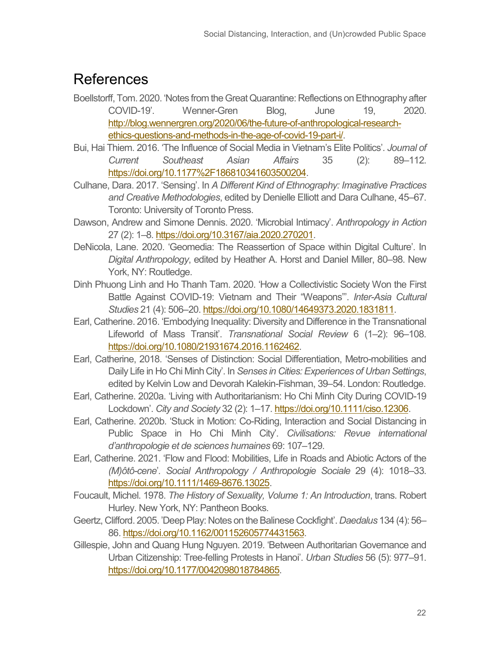## **References**

- Boellstorff, Tom. 2020. 'Notes from the Great Quarantine: Reflections on Ethnography after COVID-19'. Wenner-Gren Blog, June 19, 2020. [http://blog.wennergren.org/2020/06/the-future-of-anthropological-research](http://blog.wennergren.org/2020/06/the-future-of-anthropological-research-ethics-questions-and-methods-in-the-age-of-covid-19-part-i/)[ethics-questions-and-methods-in-the-age-of-covid-19-part-i/.](http://blog.wennergren.org/2020/06/the-future-of-anthropological-research-ethics-questions-and-methods-in-the-age-of-covid-19-part-i/)
- Bui, Hai Thiem. 2016. 'The Influence of Social Media in Vietnam's Elite Politics'. *Journal of Current Southeast Asian Affairs* 35 (2): 89–112. [https://doi.org/10.1177%2F186810341603500204.](https://doi.org/10.1177%2F186810341603500204)
- Culhane, Dara. 2017. 'Sensing'. In *A Different Kind of Ethnography: Imaginative Practices and Creative Methodologies*, edited by Denielle Elliott and Dara Culhane, 45–67. Toronto: University of Toronto Press.
- Dawson, Andrew and Simone Dennis. 2020. 'Microbial Intimacy'. *Anthropology in Action* 27 (2): 1–8. [https://doi.org/10.3167/aia.2020.270201.](https://doi.org/10.3167/aia.2020.270201)
- DeNicola, Lane. 2020. 'Geomedia: The Reassertion of Space within Digital Culture'. In *Digital Anthropology*, edited by Heather A. Horst and Daniel Miller, 80–98. New York, NY: Routledge.
- Dinh Phuong Linh and Ho Thanh Tam. 2020. 'How a Collectivistic Society Won the First Battle Against COVID-19: Vietnam and Their "Weapons"'. *Inter-Asia Cultural Studies* 21 (4): 506–20[. https://doi.org/10.1080/14649373.2020.1831811.](https://doi.org/10.1080/14649373.2020.1831811)
- Earl, Catherine. 2016. 'Embodying Inequality: Diversity and Difference in the Transnational Lifeworld of Mass Transit'. *Transnational Social Review* 6 (1–2): 96–108. [https://doi.org/10.1080/21931674.2016.1162462.](https://doi.org/10.1080/21931674.2016.1162462)
- Earl, Catherine, 2018. 'Senses of Distinction: Social Differentiation, Metro-mobilities and Daily Life in Ho Chi Minh City'. In *Senses in Cities: Experiences of Urban Settings*, edited by Kelvin Low and Devorah Kalekin-Fishman, 39–54. London: Routledge.
- Earl, Catherine. 2020a. 'Living with Authoritarianism: Ho Chi Minh City During COVID-19 Lockdown'. *City and Society* 32 (2): 1–17[. https://doi.org/10.1111/ciso.12306.](https://doi.org/10.1111/ciso.12306)
- Earl, Catherine. 2020b. 'Stuck in Motion: Co-Riding, Interaction and Social Distancing in Public Space in Ho Chi Minh City'. *Civilisations: Revue international d'anthropologie et de sciences humaines* 69: 107–129.
- Earl, Catherine. 2021. 'Flow and Flood: Mobilities, Life in Roads and Abiotic Actors of the *(M)ôtô-cene*'*. Social Anthropology / Anthropologie Sociale* 29 (4): 1018–33. [https://doi.org/10.1111/1469-8676.13025.](https://doi.org/10.1111/1469-8676.13025)
- Foucault, Michel. 1978. *The History of Sexuality, Volume 1: An Introduction*, trans. Robert Hurley. New York, NY: Pantheon Books.
- Geertz, Clifford. 2005. 'Deep Play: Notes on the Balinese Cockfight'. *Daedalus* 134 (4): 56– 86[. https://doi.org/10.1162/001152605774431563.](https://doi.org/10.1162/001152605774431563)
- Gillespie, John and Quang Hung Nguyen. 2019. 'Between Authoritarian Governance and Urban Citizenship: Tree-felling Protests in Hanoi'. *Urban Studies* 56 (5): 977–91. [https://doi.org/10.1177/0042098018784865.](https://doi.org/10.1177/0042098018784865)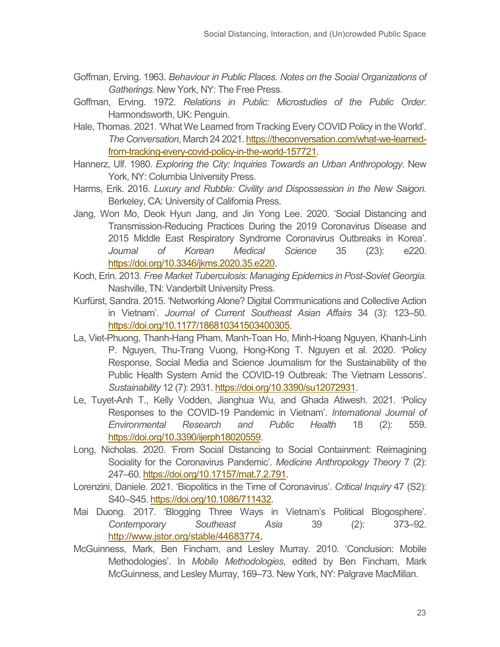- Goffman, Erving. 1963. *Behaviour in Public Places. Notes on the Social Organizations of Gatherings*. New York, NY: The Free Press.
- Goffman, Erving. 1972. *Relations in Public: Microstudies of the Public Order*. Harmondsworth, UK: Penguin.
- Hale, Thomas. 2021. 'What We Learned from Tracking Every COVID Policy in the World'. *The Conversation*, March 24 2021[. https://theconversation.com/what-we-learned](https://theconversation.com/what-we-learned-from-tracking-every-covid-policy-in-the-world-157721)[from-tracking-every-covid-policy-in-the-world-157721.](https://theconversation.com/what-we-learned-from-tracking-every-covid-policy-in-the-world-157721)
- Hannerz, Ulf. 1980. *Exploring the City: Inquiries Towards an Urban Anthropology*. New York, NY: Columbia University Press.
- Harms, Erik. 2016. *Luxury and Rubble: Civility and Dispossession in the New Saigon.*  Berkeley, CA: University of California Press.
- Jang, Won Mo, Deok Hyun Jang, and Jin Yong Lee. 2020. 'Social Distancing and Transmission-Reducing Practices During the 2019 Coronavirus Disease and 2015 Middle East Respiratory Syndrome Coronavirus Outbreaks in Korea'. *Journal of Korean Medical Science* 35 (23): e220. [https://doi.org/10.3346/jkms.2020.35.e220.](https://doi.org/10.3346/jkms.2020.35.e220)
- Koch, Erin. 2013. *Free Market Tuberculosis: Managing Epidemics in Post-Soviet Georgia.* Nashville, TN: Vanderbilt University Press.
- Kurfürst, Sandra. 2015. 'Networking Alone? Digital Communications and Collective Action in Vietnam'. *Journal of Current Southeast Asian Affairs* 34 (3): 123–50. [https://doi.org/10.1177/186810341503400305.](https://doi.org/10.1177/186810341503400305)
- La, Viet-Phuong, Thanh-Hang Pham, Manh-Toan Ho, Minh-Hoang Nguyen, Khanh-Linh P. Nguyen, Thu-Trang Vuong, Hong-Kong T. Nguyen et al. 2020. 'Policy Response, Social Media and Science Journalism for the Sustainability of the Public Health System Amid the COVID-19 Outbreak: The Vietnam Lessons'. *Sustainability* 12 (7): 2931[. https://doi.org/10.3390/su12072931.](https://doi.org/10.3390/su12072931)
- Le, Tuyet-Anh T., Kelly Vodden, Jianghua Wu, and Ghada Atiwesh. 2021. 'Policy Responses to the COVID-19 Pandemic in Vietnam'. *International Journal of Environmental Research and Public Health* 18 (2): 559. [https://doi.org/10.3390/ijerph18020559.](https://doi.org/10.3390/ijerph18020559)
- Long, Nicholas. 2020. 'From Social Distancing to Social Containment: Reimagining Sociality for the Coronavirus Pandemic'. *Medicine Anthropology Theory* 7 (2): 247–60[. https://doi.org/10.17157/mat.7.2.791.](https://doi.org/10.17157/mat.7.2.791)
- Lorenzini, Daniele. 2021. 'Biopolitics in the Time of Coronavirus'. *Critical Inquiry* 47 (S2): S40–S45. [https://doi.org/10.1086/711432.](https://doi.org/10.1086/711432)
- Mai Duong. 2017. 'Blogging Three Ways in Vietnam's Political Blogosphere'. *Contemporary Southeast Asia* 39 (2): 373–92. [http://www.jstor.org/stable/44683774.](http://www.jstor.org/stable/44683774)
- McGuinness, Mark, Ben Fincham, and Lesley Murray. 2010. 'Conclusion: Mobile Methodologies'. In *Mobile Methodologies*, edited by Ben Fincham, Mark McGuinness, and Lesley Murray, 169–73. New York, NY: Palgrave MacMillan.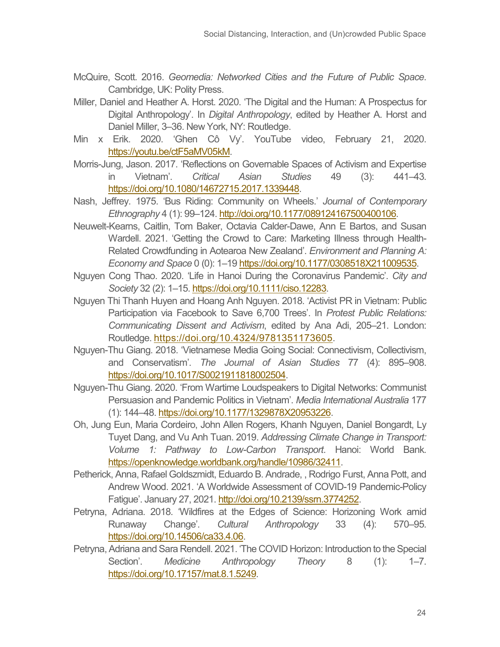- McQuire, Scott. 2016. *Geomedia: Networked Cities and the Future of Public Space*. Cambridge, UK: Polity Press.
- Miller, Daniel and Heather A. Horst. 2020. 'The Digital and the Human: A Prospectus for Digital Anthropology'. In *Digital Anthropology*, edited by Heather A. Horst and Daniel Miller, 3–36. New York, NY: Routledge.
- Min x Erik. 2020. 'Ghen Cô Vy'. YouTube video, February 21, 2020. [https://youtu.be/ctF5aMV05kM.](https://youtu.be/ctF5aMV05kM)
- Morris-Jung, Jason. 2017. 'Reflections on Governable Spaces of Activism and Expertise in Vietnam'. *Critical Asian Studies* 49 (3): 441–43. [https://doi.org/10.1080/14672715.2017.1339448.](https://doi.org/10.1080/14672715.2017.1339448)
- Nash, Jeffrey. 1975. 'Bus Riding: Community on Wheels.' *Journal of Contemporary Ethnography* 4 (1): 99–124[. http://doi.org/10.1177/089124167500400106.](http://doi.org/10.1177/089124167500400106)
- Neuwelt-Kearns, Caitlin, Tom Baker, Octavia Calder-Dawe, Ann E Bartos, and Susan Wardell. 2021. 'Getting the Crowd to Care: Marketing Illness through Health-Related Crowdfunding in Aotearoa New Zealand'. *Environment and Planning A: Economy and Space* 0 (0): 1–19 [https://doi.org/10.1177/0308518X211009535.](https://doi.org/10.1177/0308518X211009535)
- Nguyen Cong Thao. 2020. 'Life in Hanoi During the Coronavirus Pandemic'. *City and Society* 32 (2): 1–15[. https://doi.org/10.1111/ciso.12283.](https://doi.org/10.1111/ciso.12283)
- Nguyen Thi Thanh Huyen and Hoang Anh Nguyen. 2018. 'Activist PR in Vietnam: Public Participation via Facebook to Save 6,700 Trees'. In *Protest Public Relations: Communicating Dissent and Activism*, edited by Ana Adi, 205–21. London: Routledge[. https://doi.org/10.4324/9781351173605.](https://doi.org/10.4324/9781351173605)
- Nguyen-Thu Giang. 2018. 'Vietnamese Media Going Social: Connectivism, Collectivism, and Conservatism'. *The Journal of Asian Studies* 77 (4): 895–908. [https://doi.org/10.1017/S0021911818002504.](https://doi.org/10.1017/S0021911818002504)
- Nguyen-Thu Giang. 2020. 'From Wartime Loudspeakers to Digital Networks: Communist Persuasion and Pandemic Politics in Vietnam'. *Media International Australia* 177 (1): 144–48. [https://doi.org/10.1177/1329878X20953226.](https://doi.org/10.1177/1329878X20953226)
- Oh, Jung Eun, Maria Cordeiro, John Allen Rogers, Khanh Nguyen, Daniel Bongardt, Ly Tuyet Dang, and Vu Anh Tuan. 2019. *Addressing Climate Change in Transport: Volume 1: Pathway to Low-Carbon Transport*. Hanoi: World Bank. [https://openknowledge.worldbank.org/handle/10986/32411.](https://openknowledge.worldbank.org/handle/10986/32411)
- Petherick, Anna, Rafael Goldszmidt, Eduardo B. Andrade, , Rodrigo Furst, Anna Pott, and Andrew Wood. 2021. 'A Worldwide Assessment of COVID-19 Pandemic-Policy Fatigue'. January 27, 2021[. http://doi.org/10.2139/ssrn.3774252.](http://doi.org/10.2139/ssrn.3774252)
- Petryna, Adriana. 2018. 'Wildfires at the Edges of Science: Horizoning Work amid Runaway Change'. *Cultural Anthropology* 33 (4): 570–95. [https://doi.org/10.14506/ca33.4.06.](https://doi.org/10.14506/ca33.4.06)
- Petryna, Adriana and Sara Rendell. 2021. 'The COVID Horizon: Introduction to the Special Section'. *Medicine Anthropology Theory* 8 (1): 1–7. [https://doi.org/10.17157/mat.8.1.5249.](https://doi.org/10.17157/mat.8.1.5249)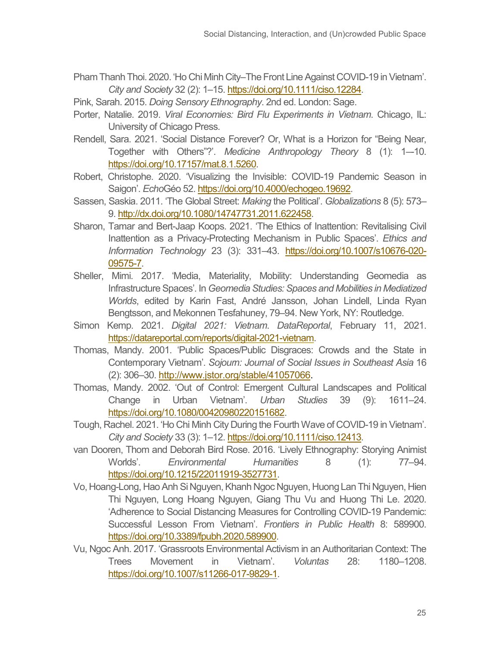- Pham Thanh Thoi. 2020. 'Ho Chi Minh City–The Front Line Against COVID-19 in Vietnam'. *City and Society* 32 (2): 1–15[. https://doi.org/10.1111/ciso.12284.](https://doi.org/10.1111/ciso.12284)
- Pink, Sarah. 2015. *Doing Sensory Ethnography*. 2nd ed. London: Sage.
- Porter, Natalie. 2019. *Viral Economies: Bird Flu Experiments in Vietnam*. Chicago, IL: University of Chicago Press.
- Rendell, Sara. 2021. 'Social Distance Forever? Or, What is a Horizon for "Being Near, Together with Others"?'. *Medicine Anthropology Theory* 8 (1): 1–-10. [https://doi.org/10.17157/mat.8.1.5260.](https://doi.org/10.17157/mat.8.1.5260)
- Robert, Christophe. 2020. 'Visualizing the Invisible: COVID-19 Pandemic Season in Saigon'. *Echo*Géo 52. [https://doi.org/10.4000/echogeo.19692.](https://doi.org/10.4000/echogeo.19692)
- Sassen, Saskia. 2011. 'The Global Street: *Making* the Political'. *Globalizations* 8 (5): 573– 9[. http://dx.doi.org/10.1080/14747731.2011.622458.](http://dx.doi.org/10.1080/14747731.2011.622458)
- Sharon, Tamar and Bert-Jaap Koops. 2021. 'The Ethics of Inattention: Revitalising Civil Inattention as a Privacy-Protecting Mechanism in Public Spaces'. *Ethics and Information Technology* 23 (3): 331–43. [https://doi.org/10.1007/s10676-020-](https://doi.org/10.1007/s10676-020-09575-7) [09575-7.](https://doi.org/10.1007/s10676-020-09575-7)
- Sheller, Mimi. 2017. 'Media, Materiality, Mobility: Understanding Geomedia as Infrastructure Spaces'. In *Geomedia Studies: Spaces and Mobilities in Mediatized Worlds*, edited by Karin Fast, André Jansson, Johan Lindell, Linda Ryan Bengtsson, and Mekonnen Tesfahuney, 79–94. New York, NY: Routledge.
- Simon Kemp. 2021. *Digital 2021: Vietnam*. *DataReportal*, February 11, 2021. [https://datareportal.com/reports/digital-2021-vietnam.](https://datareportal.com/reports/digital-2021-vietnam)
- Thomas, Mandy. 2001. 'Public Spaces/Public Disgraces: Crowds and the State in Contemporary Vietnam'. *Sojourn: Journal of Social Issues in Southeast Asia* 16 (2): 306–30. [http://www.jstor.org/stable/41057066.](http://www.jstor.org/stable/41057066)
- Thomas, Mandy. 2002. 'Out of Control: Emergent Cultural Landscapes and Political Change in Urban Vietnam'. *Urban Studies* 39 (9): 1611–24. [https://doi.org/10.1080/00420980220151682.](https://doi.org/10.1080/00420980220151682)
- Tough, Rachel. 2021. 'Ho Chi Minh City During the Fourth Wave of COVID-19 in Vietnam'. *City and Society* 33 (3): 1–12[. https://doi.org/10.1111/ciso.12413.](https://doi.org/10.1111/ciso.12413)
- van Dooren, Thom and Deborah Bird Rose. 2016. 'Lively Ethnography: Storying Animist Worlds'. *Environmental Humanities* 8 (1): 77–94. [https://doi.org/10.1215/22011919-3527731.](https://doi.org/10.1215/22011919-3527731)
- Vo, Hoang-Long, Hao Anh Si Nguyen, Khanh Ngoc Nguyen, Huong Lan Thi Nguyen, Hien Thi Nguyen, Long Hoang Nguyen, Giang Thu Vu and Huong Thi Le. 2020. 'Adherence to Social Distancing Measures for Controlling COVID-19 Pandemic: Successful Lesson From Vietnam'. *Frontiers in Public Health* 8: 589900. [https://doi.org/10.3389/fpubh.2020.589900.](https://doi.org/10.3389/fpubh.2020.589900)
- Vu, Ngoc Anh. 2017. 'Grassroots Environmental Activism in an Authoritarian Context: The Trees Movement in Vietnam'. *Voluntas* 28: 1180–1208. [https://doi.org/10.1007/s11266-017-9829-1.](https://doi.org/10.1007/s11266-017-9829-1)